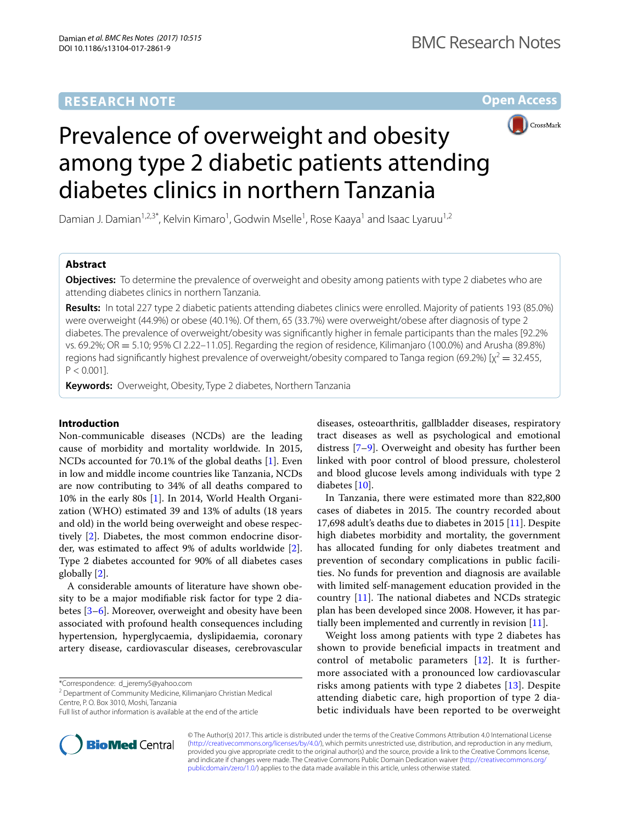## **RESEARCH NOTE**

**Open Access**



# Prevalence of overweight and obesity among type 2 diabetic patients attending diabetes clinics in northern Tanzania

Damian J. Damian<sup>1,2,3\*</sup>, Kelvin Kimaro<sup>1</sup>, Godwin Mselle<sup>1</sup>, Rose Kaaya<sup>1</sup> and Isaac Lyaruu<sup>1,2</sup>

## **Abstract**

**Objectives:** To determine the prevalence of overweight and obesity among patients with type 2 diabetes who are attending diabetes clinics in northern Tanzania.

**Results:** In total 227 type 2 diabetic patients attending diabetes clinics were enrolled. Majority of patients 193 (85.0%) were overweight (44.9%) or obese (40.1%). Of them, 65 (33.7%) were overweight/obese after diagnosis of type 2 diabetes. The prevalence of overweight/obesity was signifcantly higher in female participants than the males [92.2% vs. 69.2%; OR = 5.10; 95% CI 2.22–11.05]. Regarding the region of residence, Kilimanjaro (100.0%) and Arusha (89.8%) regions had significantly highest prevalence of overweight/obesity compared to Tanga region (69.2%)  $[x^2 = 32.455]$ ,  $P < 0.001$ ].

**Keywords:** Overweight, Obesity, Type 2 diabetes, Northern Tanzania

## **Introduction**

Non-communicable diseases (NCDs) are the leading cause of morbidity and mortality worldwide. In 2015, NCDs accounted for 70.1% of the global deaths [[1\]](#page-4-0). Even in low and middle income countries like Tanzania, NCDs are now contributing to 34% of all deaths compared to 10% in the early 80s [\[1](#page-4-0)]. In 2014, World Health Organization (WHO) estimated 39 and 13% of adults (18 years and old) in the world being overweight and obese respectively [\[2](#page-4-1)]. Diabetes, the most common endocrine disorder, was estimated to afect 9% of adults worldwide [\[2](#page-4-1)]. Type 2 diabetes accounted for 90% of all diabetes cases globally [[2\]](#page-4-1).

A considerable amounts of literature have shown obesity to be a major modifable risk factor for type 2 diabetes [[3–](#page-4-2)[6](#page-4-3)]. Moreover, overweight and obesity have been associated with profound health consequences including hypertension, hyperglycaemia, dyslipidaemia, coronary artery disease, cardiovascular diseases, cerebrovascular

\*Correspondence: d\_jeremy5@yahoo.com

<sup>2</sup> Department of Community Medicine, Kilimanjaro Christian Medical Centre, P. O. Box 3010, Moshi, Tanzania

Full list of author information is available at the end of the article



diseases, osteoarthritis, gallbladder diseases, respiratory tract diseases as well as psychological and emotional distress [\[7](#page-4-4)–[9\]](#page-4-5). Overweight and obesity has further been linked with poor control of blood pressure, cholesterol and blood glucose levels among individuals with type 2 diabetes [[10\]](#page-4-6).

In Tanzania, there were estimated more than 822,800 cases of diabetes in 2015. The country recorded about 17,698 adult's deaths due to diabetes in 2015 [[11\]](#page-4-7). Despite high diabetes morbidity and mortality, the government has allocated funding for only diabetes treatment and prevention of secondary complications in public facilities. No funds for prevention and diagnosis are available with limited self-management education provided in the country  $[11]$  $[11]$  $[11]$ . The national diabetes and NCDs strategic plan has been developed since 2008. However, it has partially been implemented and currently in revision [\[11](#page-4-7)].

Weight loss among patients with type 2 diabetes has shown to provide benefcial impacts in treatment and control of metabolic parameters [[12\]](#page-4-8). It is furthermore associated with a pronounced low cardiovascular risks among patients with type 2 diabetes [[13](#page-4-9)]. Despite attending diabetic care, high proportion of type 2 diabetic individuals have been reported to be overweight

© The Author(s) 2017. This article is distributed under the terms of the Creative Commons Attribution 4.0 International License [\(http://creativecommons.org/licenses/by/4.0/\)](http://creativecommons.org/licenses/by/4.0/), which permits unrestricted use, distribution, and reproduction in any medium, provided you give appropriate credit to the original author(s) and the source, provide a link to the Creative Commons license, and indicate if changes were made. The Creative Commons Public Domain Dedication waiver ([http://creativecommons.org/](http://creativecommons.org/publicdomain/zero/1.0/) [publicdomain/zero/1.0/](http://creativecommons.org/publicdomain/zero/1.0/)) applies to the data made available in this article, unless otherwise stated.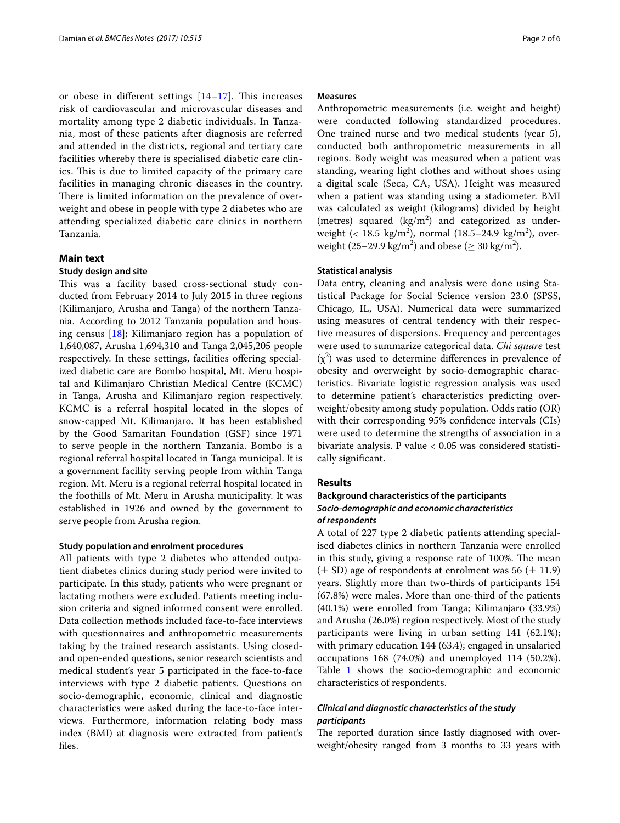or obese in different settings  $[14–17]$  $[14–17]$  $[14–17]$ . This increases risk of cardiovascular and microvascular diseases and mortality among type 2 diabetic individuals. In Tanzania, most of these patients after diagnosis are referred and attended in the districts, regional and tertiary care facilities whereby there is specialised diabetic care clinics. This is due to limited capacity of the primary care facilities in managing chronic diseases in the country. There is limited information on the prevalence of overweight and obese in people with type 2 diabetes who are attending specialized diabetic care clinics in northern Tanzania.

## **Main text**

## **Study design and site**

This was a facility based cross-sectional study conducted from February 2014 to July 2015 in three regions (Kilimanjaro, Arusha and Tanga) of the northern Tanzania. According to 2012 Tanzania population and housing census [\[18](#page-4-12)]; Kilimanjaro region has a population of 1,640,087, Arusha 1,694,310 and Tanga 2,045,205 people respectively. In these settings, facilities ofering specialized diabetic care are Bombo hospital, Mt. Meru hospital and Kilimanjaro Christian Medical Centre (KCMC) in Tanga, Arusha and Kilimanjaro region respectively. KCMC is a referral hospital located in the slopes of snow-capped Mt. Kilimanjaro. It has been established by the Good Samaritan Foundation (GSF) since 1971 to serve people in the northern Tanzania. Bombo is a regional referral hospital located in Tanga municipal. It is a government facility serving people from within Tanga region. Mt. Meru is a regional referral hospital located in the foothills of Mt. Meru in Arusha municipality. It was established in 1926 and owned by the government to serve people from Arusha region.

## **Study population and enrolment procedures**

All patients with type 2 diabetes who attended outpatient diabetes clinics during study period were invited to participate. In this study, patients who were pregnant or lactating mothers were excluded. Patients meeting inclusion criteria and signed informed consent were enrolled. Data collection methods included face-to-face interviews with questionnaires and anthropometric measurements taking by the trained research assistants. Using closedand open-ended questions, senior research scientists and medical student's year 5 participated in the face-to-face interviews with type 2 diabetic patients. Questions on socio-demographic, economic, clinical and diagnostic characteristics were asked during the face-to-face interviews. Furthermore, information relating body mass index (BMI) at diagnosis were extracted from patient's fles.

## **Measures**

Anthropometric measurements (i.e. weight and height) were conducted following standardized procedures. One trained nurse and two medical students (year 5), conducted both anthropometric measurements in all regions. Body weight was measured when a patient was standing, wearing light clothes and without shoes using a digital scale (Seca, CA, USA). Height was measured when a patient was standing using a stadiometer. BMI was calculated as weight (kilograms) divided by height (metres) squared  $(kg/m^2)$  and categorized as underweight (<  $18.5 \text{ kg/m}^2$ ), normal ( $18.5-24.9 \text{ kg/m}^2$ ), overweight  $(25-29.9 \text{ kg/m}^2)$  and obese ( $\geq 30 \text{ kg/m}^2$ ).

## **Statistical analysis**

Data entry, cleaning and analysis were done using Statistical Package for Social Science version 23.0 (SPSS, Chicago, IL, USA). Numerical data were summarized using measures of central tendency with their respective measures of dispersions. Frequency and percentages were used to summarize categorical data. *Chi square* test  $(x^2)$  was used to determine differences in prevalence of obesity and overweight by socio-demographic characteristics. Bivariate logistic regression analysis was used to determine patient's characteristics predicting overweight/obesity among study population. Odds ratio (OR) with their corresponding 95% confidence intervals (CIs) were used to determine the strengths of association in a bivariate analysis. P value < 0.05 was considered statistically signifcant.

#### **Results**

## **Background characteristics of the participants** *Socio‑demographic and economic characteristics of respondents*

A total of 227 type 2 diabetic patients attending specialised diabetes clinics in northern Tanzania were enrolled in this study, giving a response rate of 100%. The mean  $(\pm S_D)$  age of respondents at enrolment was 56  $(\pm 11.9)$ years. Slightly more than two-thirds of participants 154 (67.8%) were males. More than one-third of the patients (40.1%) were enrolled from Tanga; Kilimanjaro (33.9%) and Arusha (26.0%) region respectively. Most of the study participants were living in urban setting 141 (62.1%); with primary education 144 (63.4); engaged in unsalaried occupations 168 (74.0%) and unemployed 114 (50.2%). Table [1](#page-2-0) shows the socio-demographic and economic characteristics of respondents.

## *Clinical and diagnostic characteristics of the study participants*

The reported duration since lastly diagnosed with overweight/obesity ranged from 3 months to 33 years with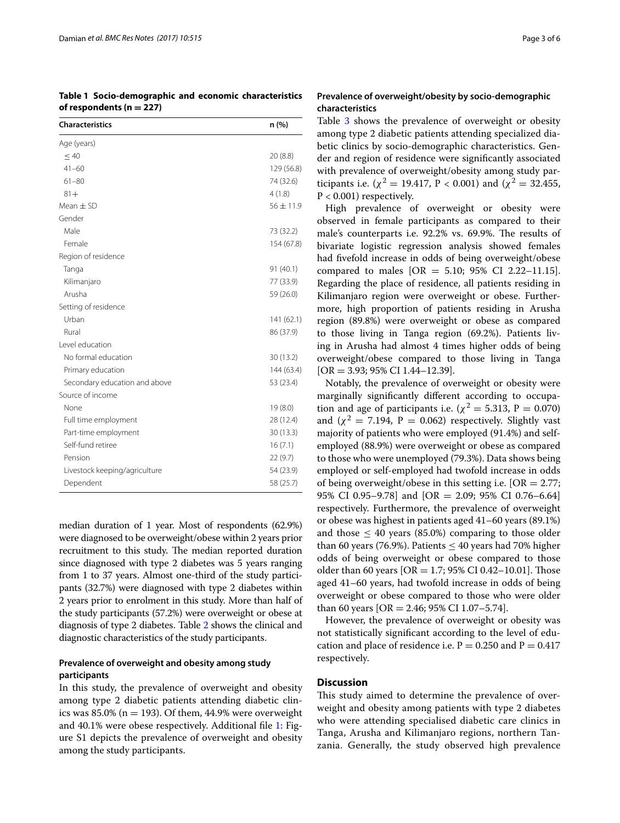<span id="page-2-0"></span>**Table 1 Socio-demographic and economic characteristics of respondents (n = 227)**

| <b>Characteristics</b>        | n (%)         |
|-------------------------------|---------------|
| Age (years)                   |               |
| < 40                          | 20 (8.8)      |
| $41 - 60$                     | 129 (56.8)    |
| $61 - 80$                     | 74 (32.6)     |
| $81 +$                        | 4(1.8)        |
| Mean $\pm$ SD                 | $56 \pm 11.9$ |
| Gender                        |               |
| Male                          | 73 (32.2)     |
| Female                        | 154 (67.8)    |
| Region of residence           |               |
| Tanga                         | 91(40.1)      |
| Kilimanjaro                   | 77 (33.9)     |
| Arusha                        | 59 (26.0)     |
| Setting of residence          |               |
| Urban                         | 141 (62.1)    |
| Rural                         | 86 (37.9)     |
| Level education               |               |
| No formal education           | 30(13.2)      |
| Primary education             | 144 (63.4)    |
| Secondary education and above | 53 (23.4)     |
| Source of income              |               |
| None                          | 19(8.0)       |
| Full time employment          | 28 (12.4)     |
| Part-time employment          | 30 (13.3)     |
| Self-fund retiree             | 16(7.1)       |
| Pension                       | 22 (9.7)      |
| Livestock keeping/agriculture | 54 (23.9)     |
| Dependent                     | 58 (25.7)     |

median duration of 1 year. Most of respondents (62.9%) were diagnosed to be overweight/obese within 2 years prior recruitment to this study. The median reported duration since diagnosed with type 2 diabetes was 5 years ranging from 1 to 37 years. Almost one-third of the study participants (32.7%) were diagnosed with type 2 diabetes within 2 years prior to enrolment in this study. More than half of the study participants (57.2%) were overweight or obese at diagnosis of type 2 diabetes. Table [2](#page-3-0) shows the clinical and diagnostic characteristics of the study participants.

## **Prevalence of overweight and obesity among study participants**

In this study, the prevalence of overweight and obesity among type 2 diabetic patients attending diabetic clinics was  $85.0\%$  (n = 193). Of them, 44.9% were overweight and 40.1% were obese respectively. Additional fle [1:](#page-4-13) Figure S1 depicts the prevalence of overweight and obesity among the study participants.

## **Prevalence of overweight/obesity by socio‑demographic characteristics**

Table [3](#page-3-1) shows the prevalence of overweight or obesity among type 2 diabetic patients attending specialized diabetic clinics by socio-demographic characteristics. Gender and region of residence were signifcantly associated with prevalence of overweight/obesity among study participants i.e. ( $\chi^2 = 19.417$ ,  $P < 0.001$ ) and ( $\chi^2 = 32.455$ ,  $P < 0.001$ ) respectively.

High prevalence of overweight or obesity were observed in female participants as compared to their male's counterparts i.e. 92.2% vs. 69.9%. The results of bivariate logistic regression analysis showed females had fvefold increase in odds of being overweight/obese compared to males  $[OR = 5.10; 95\% CI 2.22-11.15]$ . Regarding the place of residence, all patients residing in Kilimanjaro region were overweight or obese. Furthermore, high proportion of patients residing in Arusha region (89.8%) were overweight or obese as compared to those living in Tanga region (69.2%). Patients living in Arusha had almost 4 times higher odds of being overweight/obese compared to those living in Tanga  $[OR = 3.93; 95\% CI 1.44-12.39].$ 

Notably, the prevalence of overweight or obesity were marginally signifcantly diferent according to occupation and age of participants i.e. ( $\chi^2 = 5.313$ , P = 0.070) and ( $\chi^2$  = 7.194, P = 0.062) respectively. Slightly vast majority of patients who were employed (91.4%) and selfemployed (88.9%) were overweight or obese as compared to those who were unemployed (79.3%). Data shows being employed or self-employed had twofold increase in odds of being overweight/obese in this setting i.e.  $[OR = 2.77;$ 95% CI 0.95–9.78] and [OR = 2.09; 95% CI 0.76–6.64] respectively. Furthermore, the prevalence of overweight or obese was highest in patients aged 41–60 years (89.1%) and those  $\leq$  40 years (85.0%) comparing to those older than 60 years (76.9%). Patients  $\leq 40$  years had 70% higher odds of being overweight or obese compared to those older than 60 years [OR = 1.7; 95% CI 0.42–10.01]. Those aged 41–60 years, had twofold increase in odds of being overweight or obese compared to those who were older than 60 years  $[OR = 2.46; 95\% \text{ CI} 1.07 - 5.74].$ 

However, the prevalence of overweight or obesity was not statistically signifcant according to the level of education and place of residence i.e.  $P = 0.250$  and  $P = 0.417$ respectively.

## **Discussion**

This study aimed to determine the prevalence of overweight and obesity among patients with type 2 diabetes who were attending specialised diabetic care clinics in Tanga, Arusha and Kilimanjaro regions, northern Tanzania. Generally, the study observed high prevalence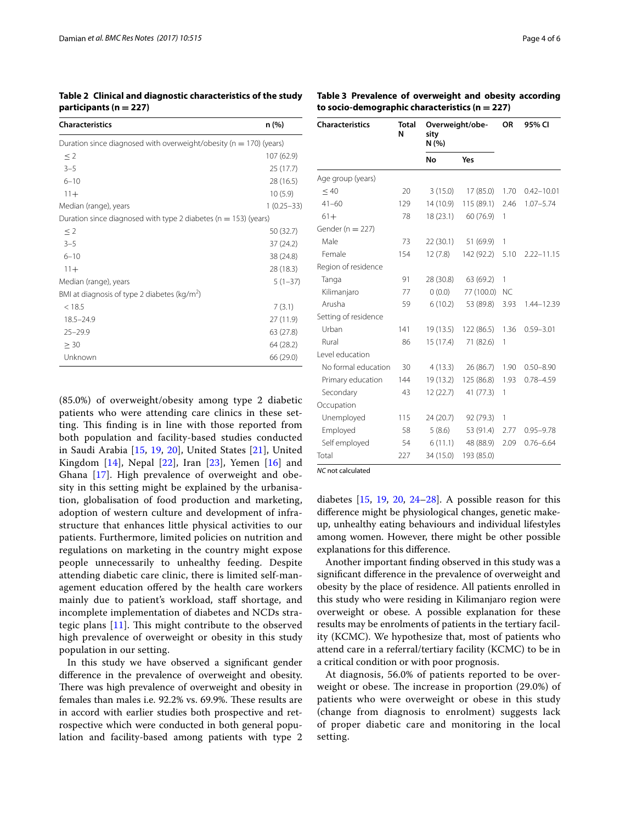<span id="page-3-0"></span>**Table 2 Clinical and diagnostic characteristics of the study participants (n = 227)**

| <b>Characteristics</b>                                                 | n(%)           |
|------------------------------------------------------------------------|----------------|
| Duration since diagnosed with overweight/obesity ( $n = 170$ ) (years) |                |
| $\leq 2$                                                               | 107 (62.9)     |
| $3 - 5$                                                                | 25 (17.7)      |
| $6 - 10$                                                               | 28 (16.5)      |
| $11 +$                                                                 | 10(5.9)        |
| Median (range), years                                                  | $1(0.25 - 33)$ |
| Duration since diagnosed with type 2 diabetes ( $n = 153$ ) (years)    |                |
| $\leq$ 2                                                               | 50 (32.7)      |
| $3 - 5$                                                                | 37 (24.2)      |
| $6 - 10$                                                               | 38 (24.8)      |
| $11 +$                                                                 | 28 (18.3)      |
| Median (range), years                                                  | $5(1-37)$      |
| BMI at diagnosis of type 2 diabetes ( $kg/m2$ )                        |                |
| < 18.5                                                                 | 7(3.1)         |
| $18.5 - 24.9$                                                          | 27 (11.9)      |
| $25 - 29.9$                                                            | 63 (27.8)      |
| > 30                                                                   | 64 (28.2)      |
| Unknown                                                                | 66 (29.0)      |

(85.0%) of overweight/obesity among type 2 diabetic patients who were attending care clinics in these setting. This finding is in line with those reported from both population and facility-based studies conducted in Saudi Arabia [\[15](#page-4-14), [19,](#page-4-15) [20\]](#page-4-16), United States [[21\]](#page-4-17), United Kingdom  $[14]$  $[14]$ , Nepal  $[22]$  $[22]$ , Iran  $[23]$  $[23]$ , Yemen  $[16]$  $[16]$  and Ghana [\[17](#page-4-11)]. High prevalence of overweight and obesity in this setting might be explained by the urbanisation, globalisation of food production and marketing, adoption of western culture and development of infrastructure that enhances little physical activities to our patients. Furthermore, limited policies on nutrition and regulations on marketing in the country might expose people unnecessarily to unhealthy feeding. Despite attending diabetic care clinic, there is limited self-management education ofered by the health care workers mainly due to patient's workload, staf shortage, and incomplete implementation of diabetes and NCDs strategic plans  $[11]$  $[11]$ . This might contribute to the observed high prevalence of overweight or obesity in this study population in our setting.

In this study we have observed a signifcant gender diference in the prevalence of overweight and obesity. There was high prevalence of overweight and obesity in females than males i.e. 92.2% vs. 69.9%. These results are in accord with earlier studies both prospective and retrospective which were conducted in both general population and facility-based among patients with type 2

<span id="page-3-1"></span>

|  | Table 3 Prevalence of overweight and obesity according |  |  |
|--|--------------------------------------------------------|--|--|
|  | to socio-demographic characteristics ( $n = 227$ )     |  |  |

| <b>Characteristics</b> | <b>Total</b><br>N | Overweight/obe-<br>sity<br>N(% |            | OR           | 95% CI         |
|------------------------|-------------------|--------------------------------|------------|--------------|----------------|
|                        |                   | No                             | Yes        |              |                |
| Age group (years)      |                   |                                |            |              |                |
| < 40                   | 20                | 3(15.0)                        | 17(85.0)   | 1.70         | $0.42 - 10.01$ |
| $41 - 60$              | 129               | 14 (10.9)                      | 115 (89.1) | 2.46         | $1.07 - 5.74$  |
| $61 +$                 | 78                | 18 (23.1)                      | 60 (76.9)  | $\mathbf{1}$ |                |
| Gender ( $n = 227$ )   |                   |                                |            |              |                |
| Male                   | 73                | 22(30.1)                       | 51 (69.9)  | $\mathbf{1}$ |                |
| Female                 | 154               | 12(7.8)                        | 142 (92.2) | 5.10         | $2.22 - 11.15$ |
| Region of residence    |                   |                                |            |              |                |
| Tanga                  | 91                | 28 (30.8)                      | 63 (69.2)  | $\mathbf{1}$ |                |
| Kilimanjaro            | 77                | (0.0)                          | 77 (100.0) | <b>NC</b>    |                |
| Arusha                 | 59                | 6(10.2)                        | 53 (89.8)  | 3.93         | 1.44-12.39     |
| Setting of residence   |                   |                                |            |              |                |
| Urban                  | 141               | 19(13.5)                       | 122 (86.5) | 1.36         | $0.59 - 3.01$  |
| Rural                  | 86                | 15(17.4)                       | 71 (82.6)  | 1            |                |
| Level education        |                   |                                |            |              |                |
| No formal education    | 30                | 4(13.3)                        | 26(86.7)   | 1.90         | $0.50 - 8.90$  |
| Primary education      | 144               | 19 (13.2)                      | 125 (86.8) | 1.93         | $0.78 - 4.59$  |
| Secondary              | 43                | 12(22.7)                       | 41 (77.3)  | 1            |                |
| Occupation             |                   |                                |            |              |                |
| Unemployed             | 115               | 24 (20.7)                      | 92 (79.3)  | 1            |                |
| Employed               | 58                | 5(8.6)                         | 53 (91.4)  | 2.77         | $0.95 - 9.78$  |
| Self employed          | 54                | 6(11.1)                        | 48 (88.9)  | 2.09         | $0.76 - 6.64$  |
| Total                  | 227               | 34 (15.0)                      | 193 (85.0) |              |                |

*NC* not calculated

diabetes [[15](#page-4-14), [19](#page-4-15), [20](#page-4-16), [24](#page-5-1)[–28](#page-5-2)]. A possible reason for this diference might be physiological changes, genetic makeup, unhealthy eating behaviours and individual lifestyles among women. However, there might be other possible explanations for this diference.

Another important fnding observed in this study was a signifcant diference in the prevalence of overweight and obesity by the place of residence. All patients enrolled in this study who were residing in Kilimanjaro region were overweight or obese. A possible explanation for these results may be enrolments of patients in the tertiary facility (KCMC). We hypothesize that, most of patients who attend care in a referral/tertiary facility (KCMC) to be in a critical condition or with poor prognosis.

At diagnosis, 56.0% of patients reported to be overweight or obese. The increase in proportion  $(29.0\%)$  of patients who were overweight or obese in this study (change from diagnosis to enrolment) suggests lack of proper diabetic care and monitoring in the local setting.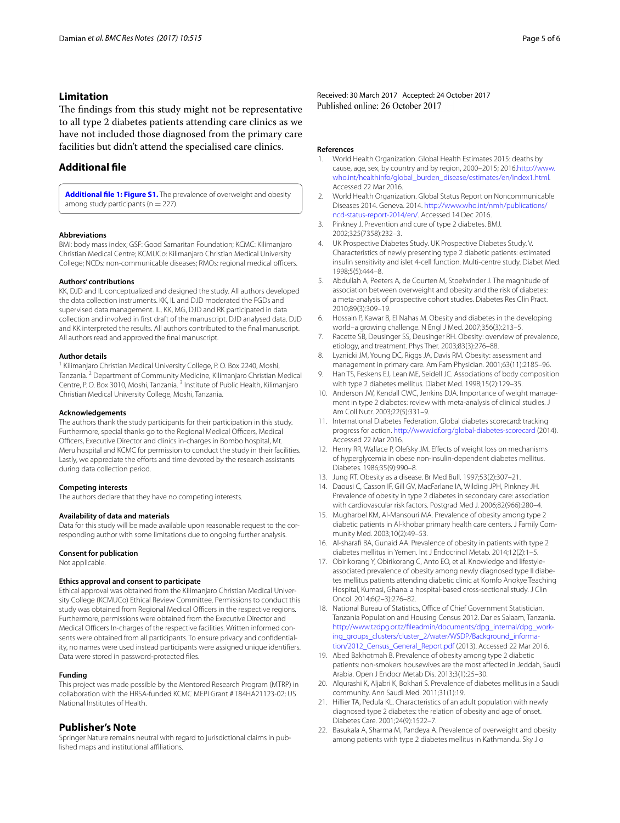## **Limitation**

The findings from this study might not be representative to all type 2 diabetes patients attending care clinics as we have not included those diagnosed from the primary care facilities but didn't attend the specialised care clinics.

## **Additional fle**

<span id="page-4-13"></span>**[Additional fle 1: Figure S1.](https://doi.org/10.1186/s13104-017-2861-9)** The prevalence of overweight and obesity among study participants ( $n = 227$ ).

#### **Abbreviations**

BMI: body mass index; GSF: Good Samaritan Foundation; KCMC: Kilimanjaro Christian Medical Centre; KCMUCo: Kilimanjaro Christian Medical University College; NCDs: non-communicable diseases; RMOs: regional medical officers.

#### **Authors' contributions**

KK, DJD and IL conceptualized and designed the study. All authors developed the data collection instruments. KK, IL and DJD moderated the FGDs and supervised data management. IL, KK, MG, DJD and RK participated in data collection and involved in frst draft of the manuscript. DJD analysed data. DJD and KK interpreted the results. All authors contributed to the fnal manuscript. All authors read and approved the fnal manuscript.

#### **Author details**

Kilimanjaro Christian Medical University College, P. O. Box 2240, Moshi, Tanzania. <sup>2</sup> Department of Community Medicine, Kilimanjaro Christian Medical Centre, P. O. Box 3010, Moshi, Tanzania. <sup>3</sup> Institute of Public Health, Kilimanjaro Christian Medical University College, Moshi, Tanzania.

#### **Acknowledgements**

The authors thank the study participants for their participation in this study. Furthermore, special thanks go to the Regional Medical Officers, Medical Officers, Executive Director and clinics in-charges in Bombo hospital, Mt. Meru hospital and KCMC for permission to conduct the study in their facilities. Lastly, we appreciate the efforts and time devoted by the research assistants during data collection period.

#### **Competing interests**

The authors declare that they have no competing interests.

#### **Availability of data and materials**

Data for this study will be made available upon reasonable request to the corresponding author with some limitations due to ongoing further analysis.

#### **Consent for publication**

Not applicable.

#### **Ethics approval and consent to participate**

Ethical approval was obtained from the Kilimanjaro Christian Medical University College (KCMUCo) Ethical Review Committee. Permissions to conduct this study was obtained from Regional Medical Officers in the respective regions. Furthermore, permissions were obtained from the Executive Director and Medical Officers In-charges of the respective facilities. Written informed consents were obtained from all participants. To ensure privacy and confdentiality, no names were used instead participants were assigned unique identifers. Data were stored in password-protected fles.

### **Funding**

This project was made possible by the Mentored Research Program (MTRP) in collaboration with the HRSA-funded KCMC MEPI Grant # T84HA21123-02; US National Institutes of Health.

## **Publisher's Note**

Springer Nature remains neutral with regard to jurisdictional claims in published maps and institutional afliations.

Received: 30 March 2017 Accepted: 24 October 2017 Published online: 26 October 2017

#### **References**

- <span id="page-4-0"></span>1. World Health Organization. Global Health Estimates 2015: deaths by cause, age, sex, by country and by region, 2000–2015; 2016.[http://www.](http://www.who.int/healthinfo/global_burden_disease/estimates/en/index1.html) [who.int/healthinfo/global\\_burden\\_disease/estimates/en/index1.html.](http://www.who.int/healthinfo/global_burden_disease/estimates/en/index1.html) Accessed 22 Mar 2016.
- <span id="page-4-1"></span>2. World Health Organization. Global Status Report on Noncommunicable Diseases 2014. Geneva. 2014. [http://www.who.int/nmh/publications/](http://www.who.int/nmh/publications/ncd-status-report-2014/en/) [ncd-status-report-2014/en/.](http://www.who.int/nmh/publications/ncd-status-report-2014/en/) Accessed 14 Dec 2016.
- <span id="page-4-2"></span>3. Pinkney J. Prevention and cure of type 2 diabetes. BMJ. 2002;325(7358):232–3.
- 4. UK Prospective Diabetes Study. UK Prospective Diabetes Study. V. Characteristics of newly presenting type 2 diabetic patients: estimated insulin sensitivity and islet 4-cell function. Multi-centre study. Diabet Med. 1998;5(5):444–8.
- 5. Abdullah A, Peeters A, de Courten M, Stoelwinder J. The magnitude of association between overweight and obesity and the risk of diabetes: a meta-analysis of prospective cohort studies. Diabetes Res Clin Pract. 2010;89(3):309–19.
- <span id="page-4-3"></span>6. Hossain P, Kawar B, El Nahas M. Obesity and diabetes in the developing world–a growing challenge. N Engl J Med. 2007;356(3):213–5.
- <span id="page-4-4"></span>7. Racette SB, Deusinger SS, Deusinger RH. Obesity: overview of prevalence, etiology, and treatment. Phys Ther. 2003;83(3):276–88.
- 8. Lyznicki JM, Young DC, Riggs JA, Davis RM. Obesity: assessment and management in primary care. Am Fam Physician. 2001;63(11):2185–96.
- <span id="page-4-5"></span>9. Han TS, Feskens EJ, Lean ME, Seidell JC. Associations of body composition with type 2 diabetes mellitus. Diabet Med. 1998;15(2):129–35.
- <span id="page-4-6"></span>10. Anderson JW, Kendall CWC, Jenkins DJA. Importance of weight management in type 2 diabetes: review with meta-analysis of clinical studies. J Am Coll Nutr. 2003;22(5):331–9.
- <span id="page-4-7"></span>11. International Diabetes Federation. Global diabetes scorecard: tracking progress for action.<http://www.idf.org/global-diabetes-scorecard>(2014). Accessed 22 Mar 2016.
- <span id="page-4-8"></span>12. Henry RR, Wallace P, Olefsky JM. Efects of weight loss on mechanisms of hyperglycemia in obese non-insulin-dependent diabetes mellitus. Diabetes. 1986;35(9):990–8.
- <span id="page-4-9"></span>13. Jung RT. Obesity as a disease. Br Med Bull. 1997;53(2):307–21.
- <span id="page-4-10"></span>14. Daousi C, Casson IF, Gill GV, MacFarlane IA, Wilding JPH, Pinkney JH. Prevalence of obesity in type 2 diabetes in secondary care: association with cardiovascular risk factors. Postgrad Med J. 2006;82(966):280–4.
- <span id="page-4-14"></span>15. Mugharbel KM, Al-Mansouri MA. Prevalence of obesity among type 2 diabetic patients in Al-khobar primary health care centers. J Family Community Med. 2003;10(2):49–53.
- <span id="page-4-19"></span>16. Al-sharaf BA, Gunaid AA. Prevalence of obesity in patients with type 2 diabetes mellitus in Yemen. Int J Endocrinol Metab. 2014;12(2):1–5.
- <span id="page-4-11"></span>17. Obirikorang Y, Obirikorang C, Anto EO, et al. Knowledge and lifestyleassociated prevalence of obesity among newly diagnosed type II diabetes mellitus patients attending diabetic clinic at Komfo Anokye Teaching Hospital, Kumasi, Ghana: a hospital-based cross-sectional study. J Clin Oncol. 2014;6(2–3):276–82.
- <span id="page-4-12"></span>18. National Bureau of Statistics, Office of Chief Government Statistician. Tanzania Population and Housing Census 2012. Dar es Salaam, Tanzania. [http://www.tzdpg.or.tz/fleadmin/documents/dpg\\_internal/dpg\\_work](http://www.tzdpg.or.tz/fileadmin/documents/dpg_internal/dpg_working_groups_clusters/cluster_2/water/WSDP/Background_information/2012_Census_General_Report.pdf)[ing\\_groups\\_clusters/cluster\\_2/water/WSDP/Background\\_informa](http://www.tzdpg.or.tz/fileadmin/documents/dpg_internal/dpg_working_groups_clusters/cluster_2/water/WSDP/Background_information/2012_Census_General_Report.pdf)[tion/2012\\_Census\\_General\\_Report.pdf](http://www.tzdpg.or.tz/fileadmin/documents/dpg_internal/dpg_working_groups_clusters/cluster_2/water/WSDP/Background_information/2012_Census_General_Report.pdf) (2013). Accessed 22 Mar 2016.
- <span id="page-4-15"></span>19. Abed Bakhotmah B. Prevalence of obesity among type 2 diabetic patients: non-smokers housewives are the most afected in Jeddah, Saudi Arabia. Open J Endocr Metab Dis. 2013;3(1):25–30.
- <span id="page-4-16"></span>20. Alqurashi K, Aljabri K, Bokhari S. Prevalence of diabetes mellitus in a Saudi community. Ann Saudi Med. 2011;31(1):19.
- <span id="page-4-17"></span>21. Hillier TA, Pedula KL. Characteristics of an adult population with newly diagnosed type 2 diabetes: the relation of obesity and age of onset. Diabetes Care. 2001;24(9):1522–7.
- <span id="page-4-18"></span>22. Basukala A, Sharma M, Pandeya A. Prevalence of overweight and obesity among patients with type 2 diabetes mellitus in Kathmandu. Sky J o